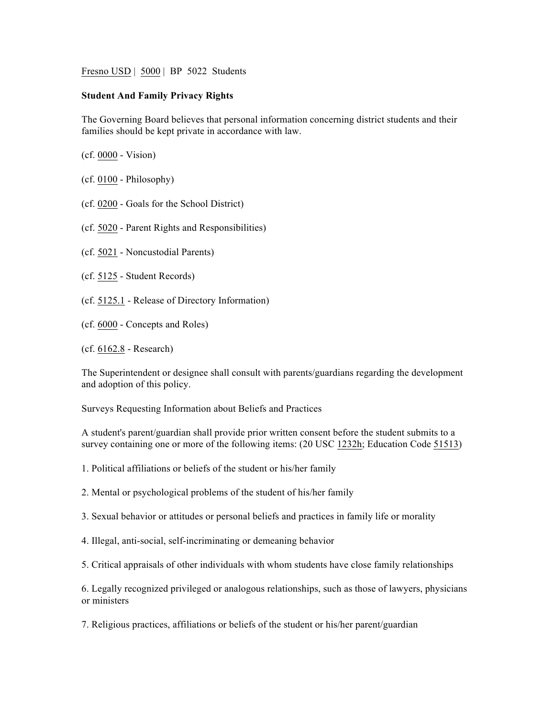Fresno USD | 5000 | BP 5022 Students

## **Student And Family Privacy Rights**

The Governing Board believes that personal information concerning district students and their families should be kept private in accordance with law.

(cf. 0000 - Vision)

- (cf. 0100 Philosophy)
- (cf. 0200 Goals for the School District)
- (cf. 5020 Parent Rights and Responsibilities)
- (cf. 5021 Noncustodial Parents)
- (cf. 5125 Student Records)
- (cf. 5125.1 Release of Directory Information)
- (cf. 6000 Concepts and Roles)

(cf. 6162.8 - Research)

The Superintendent or designee shall consult with parents/guardians regarding the development and adoption of this policy.

Surveys Requesting Information about Beliefs and Practices

A student's parent/guardian shall provide prior written consent before the student submits to a survey containing one or more of the following items: (20 USC 1232h; Education Code 51513)

1. Political affiliations or beliefs of the student or his/her family

- 2. Mental or psychological problems of the student of his/her family
- 3. Sexual behavior or attitudes or personal beliefs and practices in family life or morality
- 4. Illegal, anti-social, self-incriminating or demeaning behavior

5. Critical appraisals of other individuals with whom students have close family relationships

6. Legally recognized privileged or analogous relationships, such as those of lawyers, physicians or ministers

7. Religious practices, affiliations or beliefs of the student or his/her parent/guardian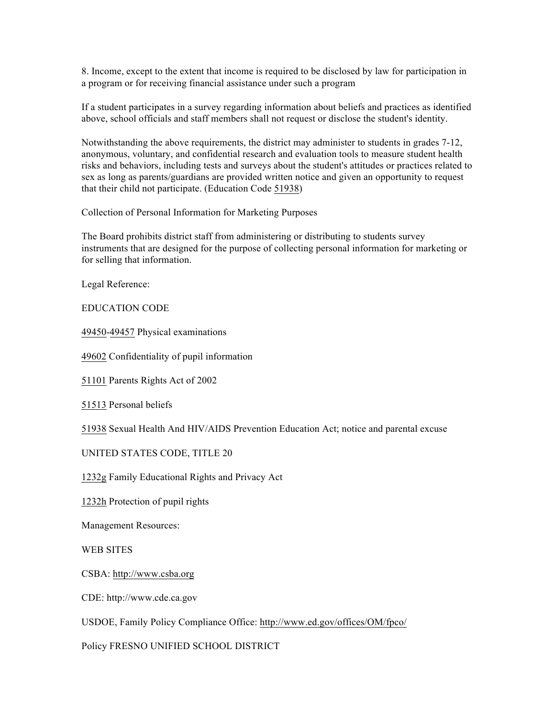8. Income, except to the extent that income is required to be disclosed by law for participation in a program or for receiving financial assistance under such a program

If a student participates in a survey regarding information about beliefs and practices as identified above, school officials and staff members shall not request or disclose the student's identity.

Notwithstanding the above requirements, the district may administer to students in grades 7-12, anonymous, voluntary, and confidential research and evaluation tools to measure student health risks and behaviors, including tests and surveys about the student's attitudes or practices related to sex as long as parents/guardians are provided written notice and given an opportunity to request that their child not participate. (Education Code 51938)

Collection of Personal Information for Marketing Purposes

The Board prohibits district staff from administering or distributing to students survey instruments that are designed for the purpose of collecting personal information for marketing or for selling that information.

Legal Reference:

EDUCATION CODE

49450-49457 Physical examinations

49602 Confidentiality of pupil information

51101 Parents Rights Act of 2002

51513 Personal beliefs

51938 Sexual Health And HIV/AIDS Prevention Education Act; notice and parental excuse

UNITED STATES CODE, TITLE 20

1232g Family Educational Rights and Privacy Act

1232h Protection of pupil rights

Management Resources:

WEB SITES

CSBA: http://www.csba.org

CDE: http://www.cde.ca.gov

USDOE, Family Policy Compliance Office: http://www.ed.gov/offices/OM/fpco/

Policy FRESNO UNIFIED SCHOOL DISTRICT